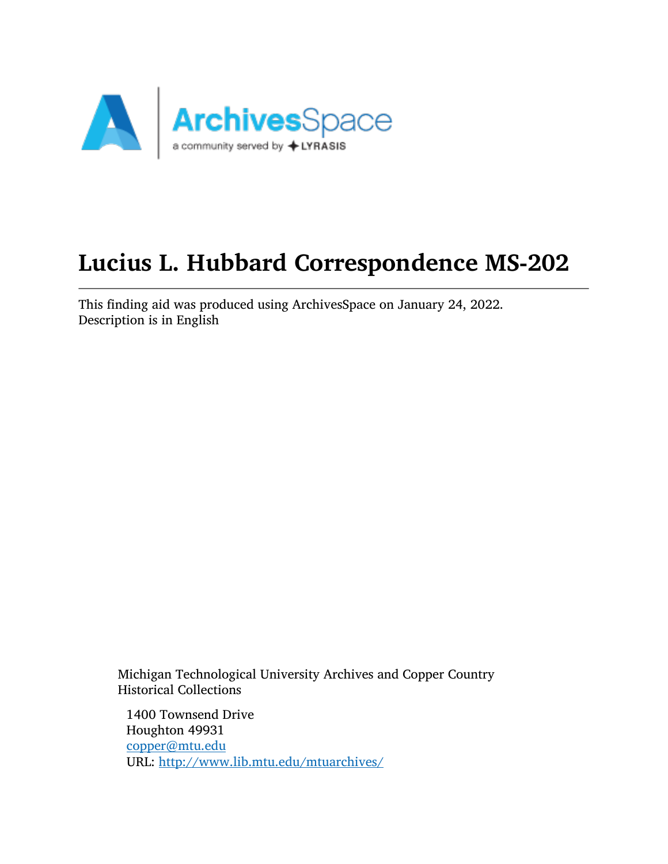

# Lucius L. Hubbard Correspondence MS-202

This finding aid was produced using ArchivesSpace on January 24, 2022. Description is in English

Michigan Technological University Archives and Copper Country Historical Collections

1400 Townsend Drive Houghton 49931 [copper@mtu.edu](mailto:copper@mtu.edu) URL: <http://www.lib.mtu.edu/mtuarchives/>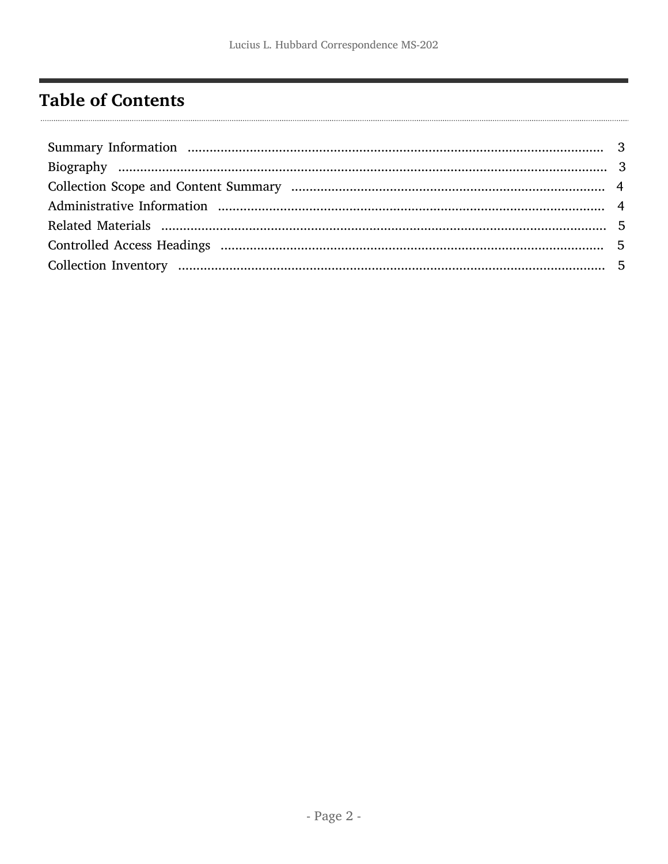## <span id="page-1-0"></span>**Table of Contents**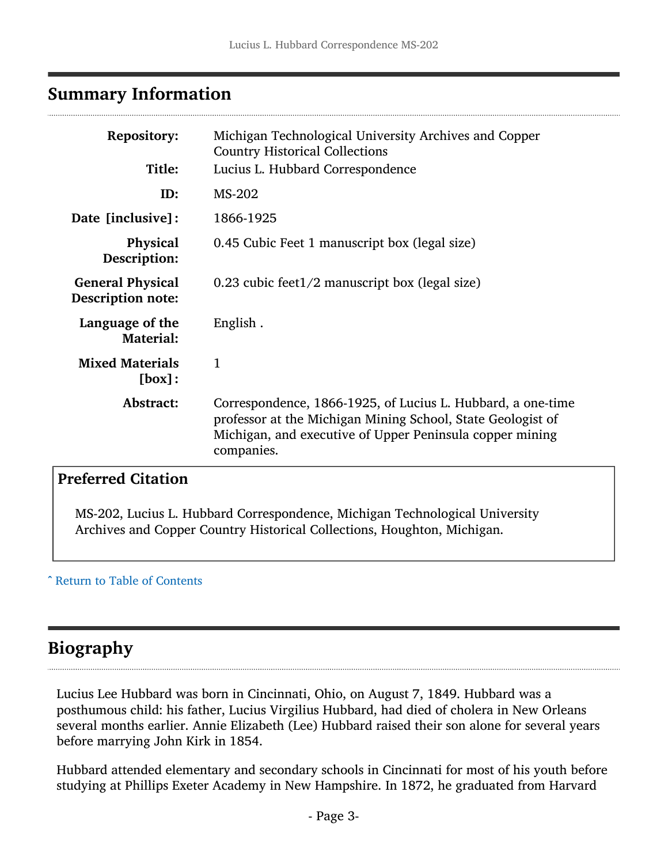## <span id="page-2-0"></span>Summary Information

| <b>Repository:</b><br>Title:                 | Michigan Technological University Archives and Copper<br><b>Country Historical Collections</b><br>Lucius L. Hubbard Correspondence                                                                   |  |  |
|----------------------------------------------|------------------------------------------------------------------------------------------------------------------------------------------------------------------------------------------------------|--|--|
| ID:                                          | MS-202                                                                                                                                                                                               |  |  |
| Date [inclusive]:                            | 1866-1925                                                                                                                                                                                            |  |  |
| <b>Physical</b><br>Description:              | 0.45 Cubic Feet 1 manuscript box (legal size)                                                                                                                                                        |  |  |
| <b>General Physical</b><br>Description note: | 0.23 cubic feet $1/2$ manuscript box (legal size)                                                                                                                                                    |  |  |
| Language of the<br><b>Material:</b>          | English.                                                                                                                                                                                             |  |  |
| <b>Mixed Materials</b><br>[box]:             | 1                                                                                                                                                                                                    |  |  |
| Abstract:                                    | Correspondence, 1866-1925, of Lucius L. Hubbard, a one-time<br>professor at the Michigan Mining School, State Geologist of<br>Michigan, and executive of Upper Peninsula copper mining<br>companies. |  |  |

### Preferred Citation

MS-202, Lucius L. Hubbard Correspondence, Michigan Technological University Archives and Copper Country Historical Collections, Houghton, Michigan.

#### ^ [Return to Table of Contents](#page-1-0)

## <span id="page-2-1"></span>Biography

Lucius Lee Hubbard was born in Cincinnati, Ohio, on August 7, 1849. Hubbard was a posthumous child: his father, Lucius Virgilius Hubbard, had died of cholera in New Orleans several months earlier. Annie Elizabeth (Lee) Hubbard raised their son alone for several years before marrying John Kirk in 1854.

Hubbard attended elementary and secondary schools in Cincinnati for most of his youth before studying at Phillips Exeter Academy in New Hampshire. In 1872, he graduated from Harvard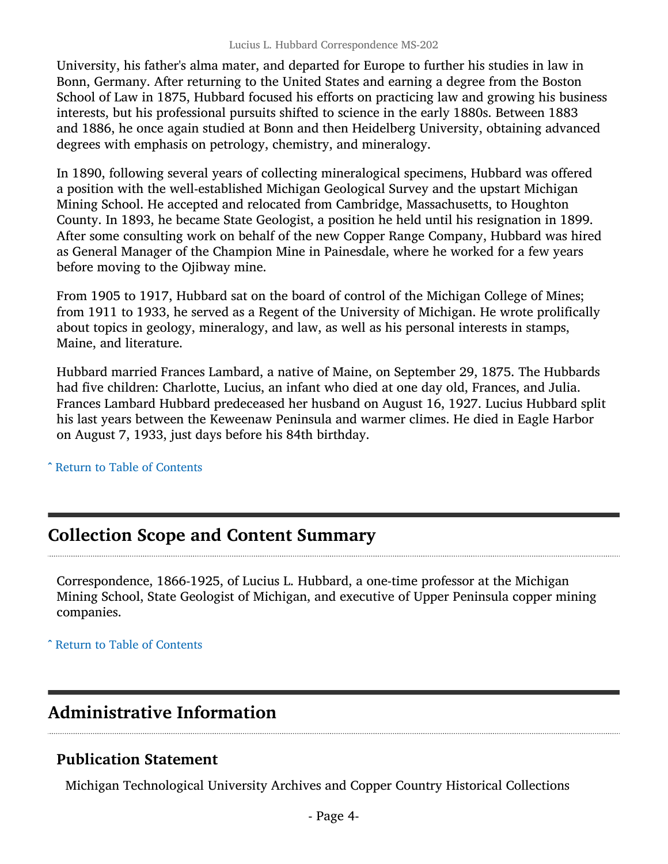University, his father's alma mater, and departed for Europe to further his studies in law in Bonn, Germany. After returning to the United States and earning a degree from the Boston School of Law in 1875, Hubbard focused his efforts on practicing law and growing his business interests, but his professional pursuits shifted to science in the early 1880s. Between 1883 and 1886, he once again studied at Bonn and then Heidelberg University, obtaining advanced degrees with emphasis on petrology, chemistry, and mineralogy.

In 1890, following several years of collecting mineralogical specimens, Hubbard was offered a position with the well-established Michigan Geological Survey and the upstart Michigan Mining School. He accepted and relocated from Cambridge, Massachusetts, to Houghton County. In 1893, he became State Geologist, a position he held until his resignation in 1899. After some consulting work on behalf of the new Copper Range Company, Hubbard was hired as General Manager of the Champion Mine in Painesdale, where he worked for a few years before moving to the Ojibway mine.

From 1905 to 1917, Hubbard sat on the board of control of the Michigan College of Mines; from 1911 to 1933, he served as a Regent of the University of Michigan. He wrote prolifically about topics in geology, mineralogy, and law, as well as his personal interests in stamps, Maine, and literature.

Hubbard married Frances Lambard, a native of Maine, on September 29, 1875. The Hubbards had five children: Charlotte, Lucius, an infant who died at one day old, Frances, and Julia. Frances Lambard Hubbard predeceased her husband on August 16, 1927. Lucius Hubbard split his last years between the Keweenaw Peninsula and warmer climes. He died in Eagle Harbor on August 7, 1933, just days before his 84th birthday.

^ [Return to Table of Contents](#page-1-0)

## <span id="page-3-0"></span>Collection Scope and Content Summary

Correspondence, 1866-1925, of Lucius L. Hubbard, a one-time professor at the Michigan Mining School, State Geologist of Michigan, and executive of Upper Peninsula copper mining companies.

^ [Return to Table of Contents](#page-1-0)

## <span id="page-3-1"></span>Administrative Information

#### Publication Statement

Michigan Technological University Archives and Copper Country Historical Collections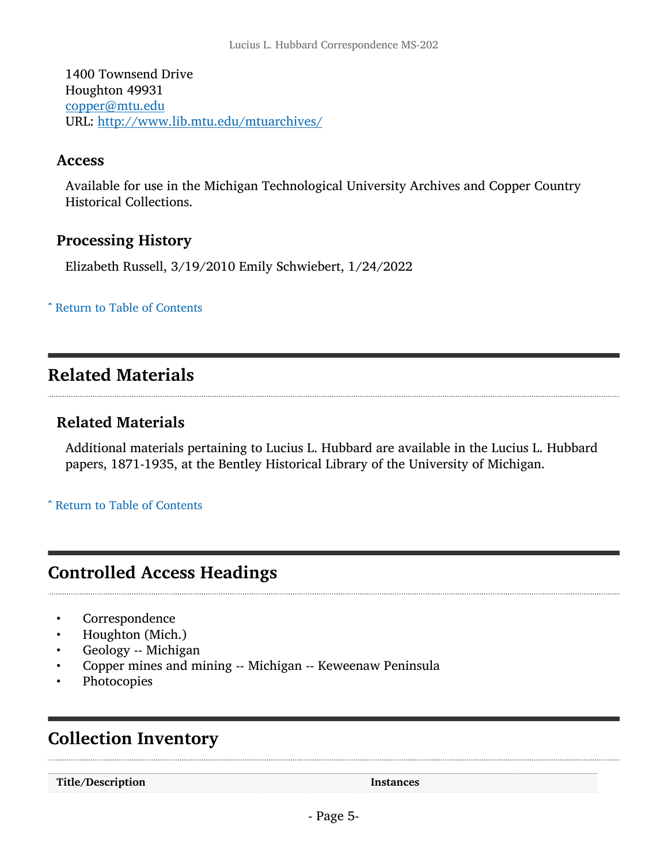1400 Townsend Drive Houghton 49931 [copper@mtu.edu](mailto:copper@mtu.edu) URL: <http://www.lib.mtu.edu/mtuarchives/>

#### Access

Available for use in the Michigan Technological University Archives and Copper Country Historical Collections.

#### Processing History

Elizabeth Russell, 3/19/2010 Emily Schwiebert, 1/24/2022

^ [Return to Table of Contents](#page-1-0)

## <span id="page-4-0"></span>Related Materials

#### Related Materials

Additional materials pertaining to Lucius L. Hubbard are available in the Lucius L. Hubbard papers, 1871-1935, at the Bentley Historical Library of the University of Michigan.

^ [Return to Table of Contents](#page-1-0)

## <span id="page-4-1"></span>Controlled Access Headings

- **Correspondence**
- Houghton (Mich.)
- Geology -- Michigan
- Copper mines and mining -- Michigan -- Keweenaw Peninsula
- **Photocopies**

## <span id="page-4-2"></span>Collection Inventory

Title/Description Instances